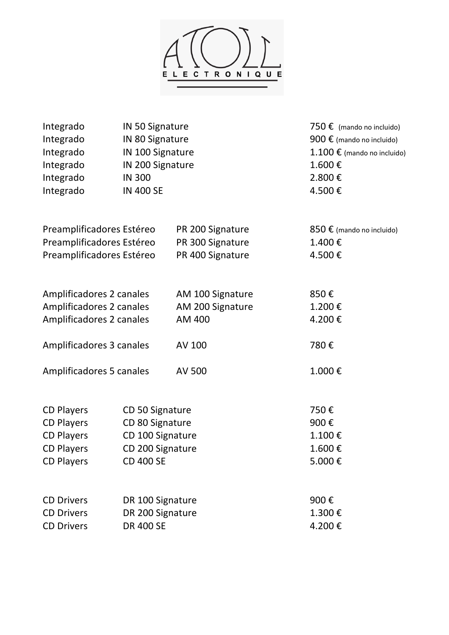

| Integrado                                              | IN 50 Signature  |                  | 750 $\epsilon$ (mando no incluido)     |
|--------------------------------------------------------|------------------|------------------|----------------------------------------|
| Integrado                                              | IN 80 Signature  |                  | 900 € (mando no incluido)              |
| Integrado                                              | IN 100 Signature |                  | $1.100 \text{ € }$ (mando no incluido) |
| Integrado                                              | IN 200 Signature |                  | 1.600€                                 |
| Integrado                                              | <b>IN 300</b>    |                  | 2.800€                                 |
| Integrado                                              | <b>IN 400 SE</b> |                  | 4.500€                                 |
| Preamplificadores Estéreo                              |                  | PR 200 Signature | 850 € (mando no incluido)              |
|                                                        |                  | PR 300 Signature | 1.400€                                 |
| Preamplificadores Estéreo<br>Preamplificadores Estéreo |                  | PR 400 Signature | 4.500€                                 |
|                                                        |                  |                  |                                        |
| Amplificadores 2 canales                               |                  | AM 100 Signature | 850€                                   |
| Amplificadores 2 canales                               |                  | AM 200 Signature | 1.200€                                 |
| Amplificadores 2 canales                               |                  | AM 400           | 4.200€                                 |
| Amplificadores 3 canales                               |                  | AV 100           | 780€                                   |
| Amplificadores 5 canales                               |                  | AV 500           | 1.000€                                 |
|                                                        |                  |                  |                                        |
| <b>CD Players</b>                                      | CD 50 Signature  |                  | 750€                                   |
| <b>CD Players</b>                                      | CD 80 Signature  |                  | 900€                                   |
| <b>CD Players</b>                                      | CD 100 Signature |                  | 1.100€                                 |
| <b>CD Players</b>                                      | CD 200 Signature |                  | 1.600€                                 |
| <b>CD Players</b>                                      | <b>CD 400 SE</b> |                  | 5.000€                                 |
| <b>CD Drivers</b>                                      | DR 100 Signature |                  | 900€                                   |
| <b>CD Drivers</b>                                      | DR 200 Signature |                  | 1.300€                                 |
| <b>CD Drivers</b>                                      | <b>DR 400 SE</b> |                  | 4.200€                                 |
|                                                        |                  |                  |                                        |